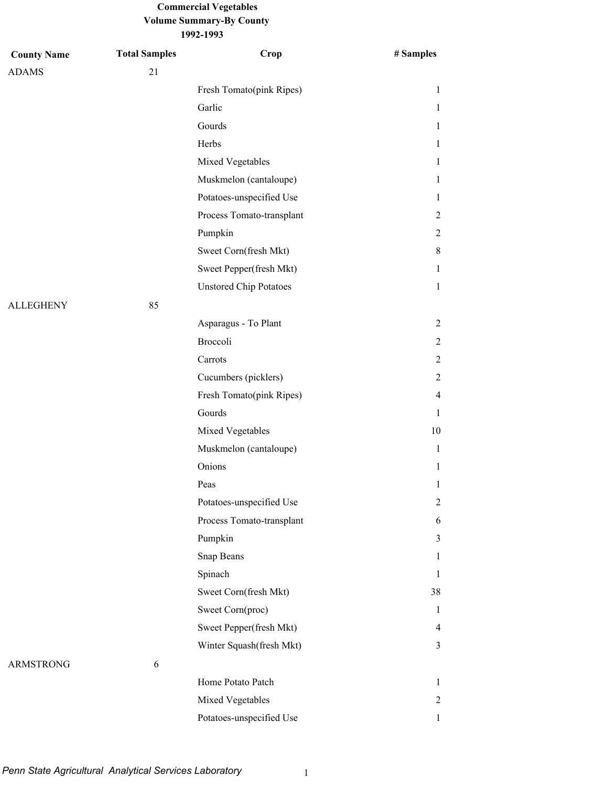| <b>County Name</b> | <b>Total Samples</b> | Crop                          | # Samples      |
|--------------------|----------------------|-------------------------------|----------------|
| <b>ADAMS</b>       | 21                   |                               |                |
|                    |                      | Fresh Tomato(pink Ripes)      | 1              |
|                    |                      | Garlic                        | $\mathbf{1}$   |
|                    |                      | Gourds                        | 1              |
|                    |                      | Herbs                         | $\mathbf{1}$   |
|                    |                      | Mixed Vegetables              | 1              |
|                    |                      | Muskmelon (cantaloupe)        | $\mathbf{1}$   |
|                    |                      | Potatoes-unspecified Use      | 1              |
|                    |                      | Process Tomato-transplant     | $\overline{2}$ |
|                    |                      | Pumpkin                       | $\overline{2}$ |
|                    |                      | Sweet Corn(fresh Mkt)         | $\,8\,$        |
|                    |                      | Sweet Pepper(fresh Mkt)       | 1              |
|                    |                      | <b>Unstored Chip Potatoes</b> | $\mathbf{1}$   |
| <b>ALLEGHENY</b>   | 85                   |                               |                |
|                    |                      | Asparagus - To Plant          | $\overline{2}$ |
|                    |                      | Broccoli                      | $\overline{2}$ |
|                    |                      | Carrots                       | $\overline{2}$ |
|                    |                      | Cucumbers (picklers)          | $\overline{2}$ |
|                    |                      | Fresh Tomato(pink Ripes)      | 4              |
|                    |                      | Gourds                        | 1              |
|                    |                      | Mixed Vegetables              | 10             |
|                    |                      | Muskmelon (cantaloupe)        | $\mathbf{1}$   |
|                    |                      | Onions                        | $\mathbf{1}$   |
|                    |                      | Peas                          | $\mathbf{1}$   |
|                    |                      | Potatoes-unspecified Use      | $\overline{2}$ |
|                    |                      | Process Tomato-transplant     | 6              |
|                    |                      | Pumpkin                       | 3              |
|                    |                      | Snap Beans                    | $\mathbf{1}$   |
|                    |                      | Spinach                       | $\mathbf{1}$   |
|                    |                      | Sweet Corn(fresh Mkt)         | 38             |
|                    |                      | Sweet Corn(proc)              | 1              |
|                    |                      | Sweet Pepper(fresh Mkt)       | $\overline{4}$ |
|                    |                      | Winter Squash(fresh Mkt)      | 3              |
| <b>ARMSTRONG</b>   | 6                    |                               |                |
|                    |                      | Home Potato Patch             | $\mathbf{1}$   |
|                    |                      | Mixed Vegetables              | $\overline{2}$ |
|                    |                      | Potatoes-unspecified Use      | $\mathbf{1}$   |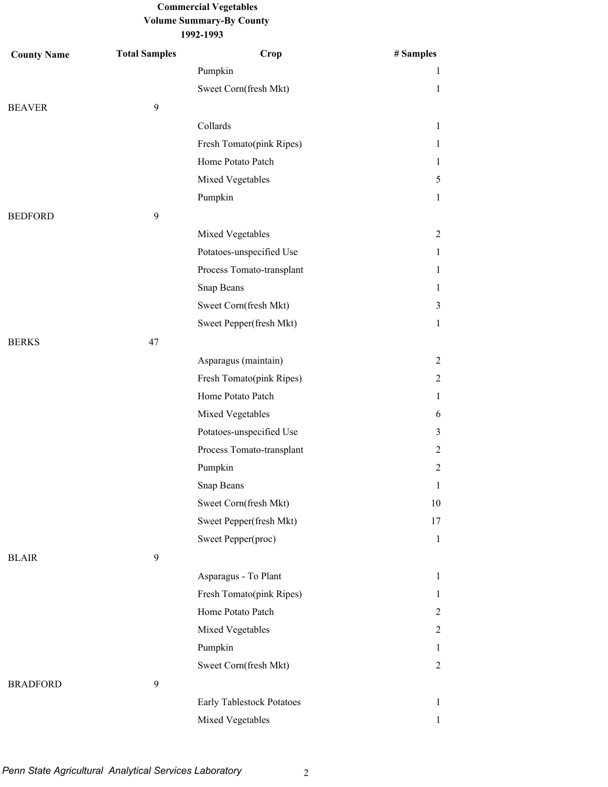| <b>County Name</b> | <b>Total Samples</b> | Crop                      | # Samples      |
|--------------------|----------------------|---------------------------|----------------|
|                    |                      | Pumpkin                   | 1              |
|                    |                      | Sweet Corn(fresh Mkt)     | $\mathbf{1}$   |
| <b>BEAVER</b>      | 9                    |                           |                |
|                    |                      | Collards                  | $\mathbf{1}$   |
|                    |                      | Fresh Tomato(pink Ripes)  | $\mathbf{1}$   |
|                    |                      | Home Potato Patch         | $\mathbf{1}$   |
|                    |                      | Mixed Vegetables          | 5              |
|                    |                      | Pumpkin                   | $\mathbf{1}$   |
| <b>BEDFORD</b>     | 9                    |                           |                |
|                    |                      | Mixed Vegetables          | $\overline{2}$ |
|                    |                      | Potatoes-unspecified Use  | 1              |
|                    |                      | Process Tomato-transplant | $\mathbf{1}$   |
|                    |                      | Snap Beans                | 1              |
|                    |                      | Sweet Corn(fresh Mkt)     | 3              |
|                    |                      | Sweet Pepper(fresh Mkt)   | $\mathbf{1}$   |
| <b>BERKS</b>       | 47                   |                           |                |
|                    |                      | Asparagus (maintain)      | $\overline{2}$ |
|                    |                      | Fresh Tomato(pink Ripes)  | $\overline{2}$ |
|                    |                      | Home Potato Patch         | $\mathbf{1}$   |
|                    |                      | Mixed Vegetables          | 6              |
|                    |                      | Potatoes-unspecified Use  | $\mathfrak{Z}$ |
|                    |                      | Process Tomato-transplant | $\overline{2}$ |
|                    |                      | Pumpkin                   | $\overline{2}$ |
|                    |                      | Snap Beans                | 1              |
|                    |                      | Sweet Corn(fresh Mkt)     | 10             |
|                    |                      | Sweet Pepper(fresh Mkt)   | 17             |
|                    |                      | Sweet Pepper(proc)        | $\mathbf{1}$   |
| <b>BLAIR</b>       | 9                    |                           |                |
|                    |                      | Asparagus - To Plant      | $\mathbf{1}$   |
|                    |                      | Fresh Tomato(pink Ripes)  | $\mathbf{1}$   |
|                    |                      | Home Potato Patch         | $\overline{2}$ |
|                    |                      | Mixed Vegetables          | $\overline{2}$ |
|                    |                      | Pumpkin                   | $\mathbf{1}$   |
|                    |                      | Sweet Corn(fresh Mkt)     | $\overline{2}$ |
| <b>BRADFORD</b>    | 9                    |                           |                |
|                    |                      | Early Tablestock Potatoes | 1              |
|                    |                      | Mixed Vegetables          | $\mathbf{1}$   |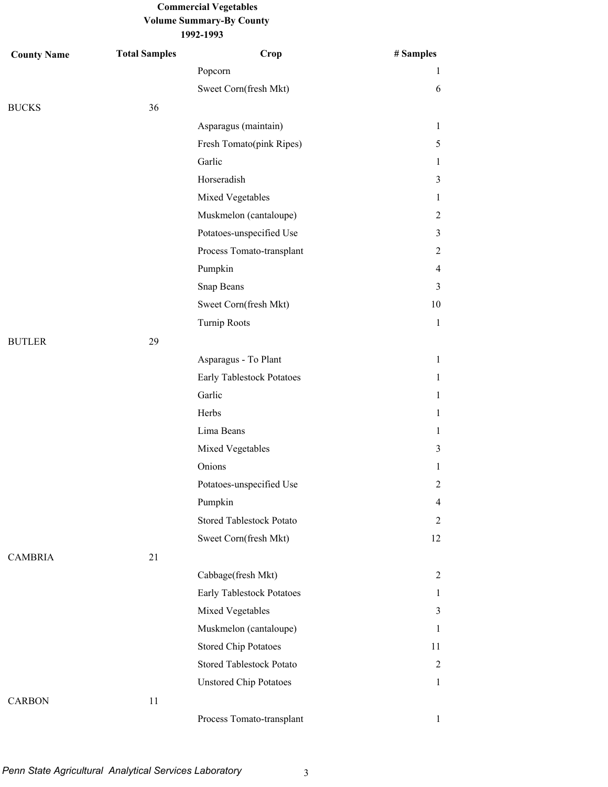| <b>County Name</b> | <b>Total Samples</b> | Crop                            | # Samples      |
|--------------------|----------------------|---------------------------------|----------------|
|                    |                      | Popcorn                         | 1              |
|                    |                      | Sweet Corn(fresh Mkt)           | 6              |
| <b>BUCKS</b>       | 36                   |                                 |                |
|                    |                      | Asparagus (maintain)            | $\mathbf{1}$   |
|                    |                      | Fresh Tomato(pink Ripes)        | 5              |
|                    |                      | Garlic                          | $\mathbf{1}$   |
|                    |                      | Horseradish                     | $\mathfrak{Z}$ |
|                    |                      | Mixed Vegetables                | $\mathbf{1}$   |
|                    |                      | Muskmelon (cantaloupe)          | $\overline{2}$ |
|                    |                      | Potatoes-unspecified Use        | $\mathfrak{Z}$ |
|                    |                      | Process Tomato-transplant       | $\overline{2}$ |
|                    |                      | Pumpkin                         | $\overline{4}$ |
|                    |                      | Snap Beans                      | 3              |
|                    |                      | Sweet Corn(fresh Mkt)           | 10             |
|                    |                      | <b>Turnip Roots</b>             | $\mathbf{1}$   |
| <b>BUTLER</b>      | 29                   |                                 |                |
|                    |                      | Asparagus - To Plant            | $\mathbf{1}$   |
|                    |                      | Early Tablestock Potatoes       | $\mathbf{1}$   |
|                    |                      | Garlic                          | $\mathbf{1}$   |
|                    |                      | Herbs                           | $\mathbf{1}$   |
|                    |                      | Lima Beans                      | 1              |
|                    |                      | Mixed Vegetables                | $\mathfrak{Z}$ |
|                    |                      | Onions                          | $\mathbf{1}$   |
|                    |                      | Potatoes-unspecified Use        | $\overline{c}$ |
|                    |                      | Pumpkin                         | $\overline{4}$ |
|                    |                      | <b>Stored Tablestock Potato</b> | $\overline{2}$ |
|                    |                      | Sweet Corn(fresh Mkt)           | 12             |
| <b>CAMBRIA</b>     | 21                   |                                 |                |
|                    |                      | Cabbage(fresh Mkt)              | $\overline{2}$ |
|                    |                      | Early Tablestock Potatoes       | $\mathbf{1}$   |
|                    |                      | Mixed Vegetables                | $\mathfrak{Z}$ |
|                    |                      | Muskmelon (cantaloupe)          | 1              |
|                    |                      | <b>Stored Chip Potatoes</b>     | 11             |
|                    |                      | <b>Stored Tablestock Potato</b> | 2              |
|                    |                      | <b>Unstored Chip Potatoes</b>   | $\mathbf{1}$   |
| <b>CARBON</b>      | 11                   |                                 |                |
|                    |                      | Process Tomato-transplant       | $\mathbf{1}$   |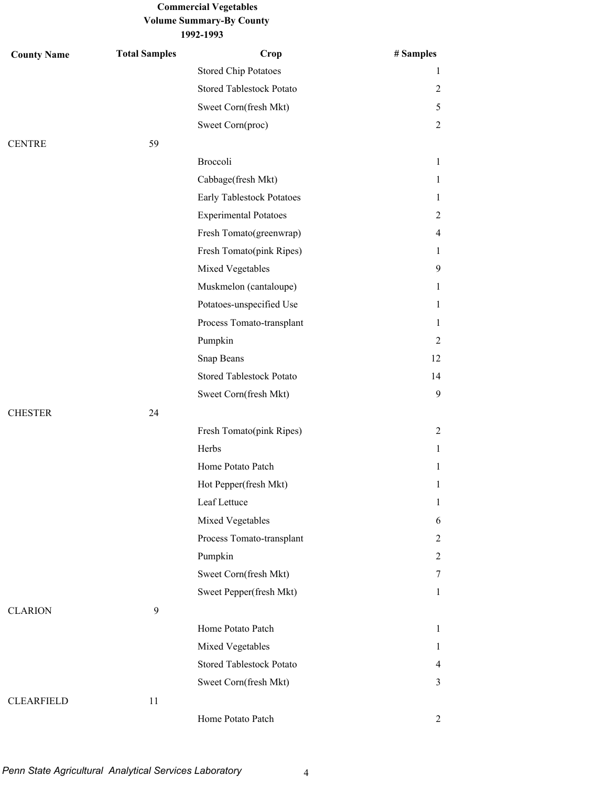| <b>County Name</b> | <b>Total Samples</b> | Crop                            | # Samples      |
|--------------------|----------------------|---------------------------------|----------------|
|                    |                      | <b>Stored Chip Potatoes</b>     | 1              |
|                    |                      | <b>Stored Tablestock Potato</b> | 2              |
|                    |                      | Sweet Corn(fresh Mkt)           | 5              |
|                    |                      | Sweet Corn(proc)                | $\overline{2}$ |
| <b>CENTRE</b>      | 59                   |                                 |                |
|                    |                      | Broccoli                        | 1              |
|                    |                      | Cabbage(fresh Mkt)              | 1              |
|                    |                      | Early Tablestock Potatoes       | 1              |
|                    |                      | <b>Experimental Potatoes</b>    | $\overline{c}$ |
|                    |                      | Fresh Tomato(greenwrap)         | 4              |
|                    |                      | Fresh Tomato(pink Ripes)        | 1              |
|                    |                      | Mixed Vegetables                | 9              |
|                    |                      | Muskmelon (cantaloupe)          | 1              |
|                    |                      | Potatoes-unspecified Use        | 1              |
|                    |                      | Process Tomato-transplant       | 1              |
|                    |                      | Pumpkin                         | 2              |
|                    |                      | Snap Beans                      | 12             |
|                    |                      | <b>Stored Tablestock Potato</b> | 14             |
|                    |                      | Sweet Corn(fresh Mkt)           | 9              |
| <b>CHESTER</b>     | 24                   |                                 |                |
|                    |                      | Fresh Tomato(pink Ripes)        | $\overline{c}$ |
|                    |                      | Herbs                           | 1              |
|                    |                      | Home Potato Patch               | 1              |
|                    |                      | Hot Pepper(fresh Mkt)           | 1              |
|                    |                      | Leaf Lettuce                    | 1              |
|                    |                      | Mixed Vegetables                | 6              |
|                    |                      | Process Tomato-transplant       | 2              |
|                    |                      | Pumpkin                         | 2              |
|                    |                      | Sweet Corn(fresh Mkt)           | 7              |
|                    |                      | Sweet Pepper(fresh Mkt)         | $\mathbf{1}$   |
| <b>CLARION</b>     | 9                    |                                 |                |
|                    |                      | Home Potato Patch               | $\mathbf{1}$   |
|                    |                      | Mixed Vegetables                | $\mathbf{1}$   |
|                    |                      | <b>Stored Tablestock Potato</b> | 4              |
|                    |                      | Sweet Corn(fresh Mkt)           | 3              |
| <b>CLEARFIELD</b>  | 11                   |                                 |                |
|                    |                      | Home Potato Patch               | $\overline{2}$ |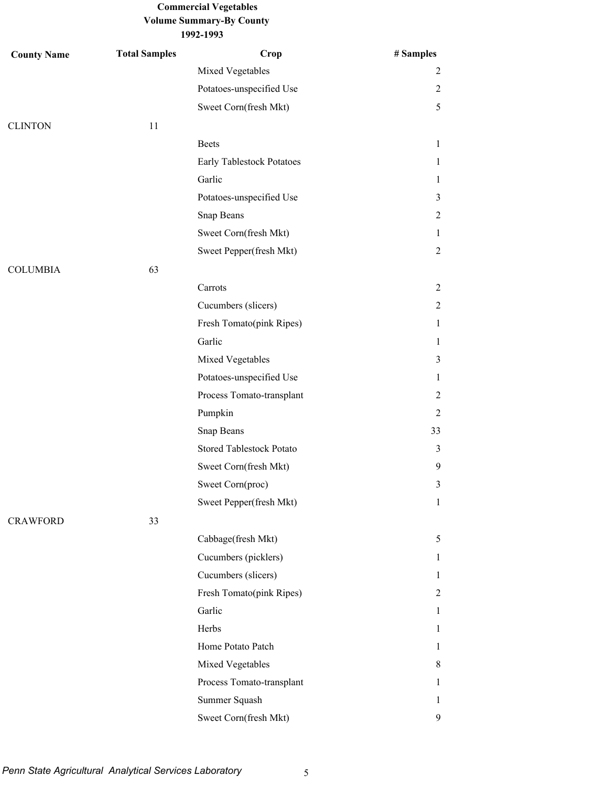| <b>County Name</b> | <b>Total Samples</b> | Crop                            | # Samples      |
|--------------------|----------------------|---------------------------------|----------------|
|                    |                      | Mixed Vegetables                | $\overline{c}$ |
|                    |                      | Potatoes-unspecified Use        | $\overline{c}$ |
|                    |                      | Sweet Corn(fresh Mkt)           | 5              |
| <b>CLINTON</b>     | 11                   |                                 |                |
|                    |                      | <b>Beets</b>                    | $\mathbf{1}$   |
|                    |                      | Early Tablestock Potatoes       | $\mathbf{1}$   |
|                    |                      | Garlic                          | $\mathbf{1}$   |
|                    |                      | Potatoes-unspecified Use        | 3              |
|                    |                      | Snap Beans                      | $\overline{2}$ |
|                    |                      | Sweet Corn(fresh Mkt)           | $\mathbf{1}$   |
|                    |                      | Sweet Pepper(fresh Mkt)         | $\overline{2}$ |
| <b>COLUMBIA</b>    | 63                   |                                 |                |
|                    |                      | Carrots                         | $\overline{2}$ |
|                    |                      | Cucumbers (slicers)             | 2              |
|                    |                      | Fresh Tomato(pink Ripes)        | $\mathbf{1}$   |
|                    |                      | Garlic                          | $\mathbf{1}$   |
|                    |                      | Mixed Vegetables                | 3              |
|                    |                      | Potatoes-unspecified Use        | $\mathbf{1}$   |
|                    |                      | Process Tomato-transplant       | $\overline{2}$ |
|                    |                      | Pumpkin                         | 2              |
|                    |                      | Snap Beans                      | 33             |
|                    |                      | <b>Stored Tablestock Potato</b> | 3              |
|                    |                      | Sweet Corn(fresh Mkt)           | 9              |
|                    |                      | Sweet Corn(proc)                | $\mathfrak{Z}$ |
|                    |                      | Sweet Pepper(fresh Mkt)         | $\mathbf{1}$   |
| <b>CRAWFORD</b>    | 33                   |                                 |                |
|                    |                      | Cabbage(fresh Mkt)              | 5              |
|                    |                      | Cucumbers (picklers)            | $\mathbf{1}$   |
|                    |                      | Cucumbers (slicers)             | $\mathbf{1}$   |
|                    |                      | Fresh Tomato(pink Ripes)        | $\overline{c}$ |
|                    |                      | Garlic                          | 1              |
|                    |                      | Herbs                           | $\mathbf{1}$   |
|                    |                      | Home Potato Patch               | $\mathbf{1}$   |
|                    |                      | Mixed Vegetables                | 8              |
|                    |                      | Process Tomato-transplant       | 1              |
|                    |                      | Summer Squash                   | 1              |
|                    |                      | Sweet Corn(fresh Mkt)           | 9              |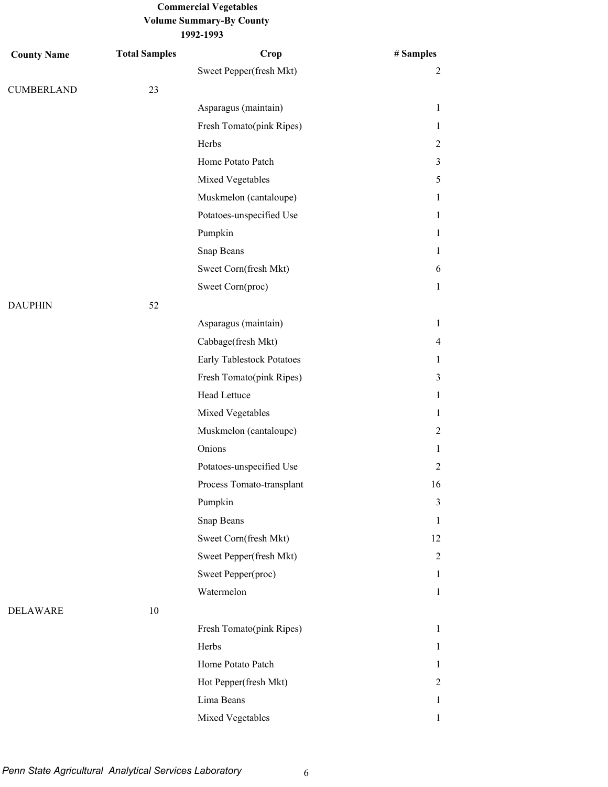| <b>County Name</b> | <b>Total Samples</b> | Crop                      | # Samples      |
|--------------------|----------------------|---------------------------|----------------|
|                    |                      | Sweet Pepper(fresh Mkt)   | $\overline{2}$ |
| <b>CUMBERLAND</b>  | 23                   |                           |                |
|                    |                      | Asparagus (maintain)      | 1              |
|                    |                      | Fresh Tomato(pink Ripes)  | 1              |
|                    |                      | Herbs                     | 2              |
|                    |                      | Home Potato Patch         | 3              |
|                    |                      | Mixed Vegetables          | 5              |
|                    |                      | Muskmelon (cantaloupe)    | 1              |
|                    |                      | Potatoes-unspecified Use  | 1              |
|                    |                      | Pumpkin                   | 1              |
|                    |                      | Snap Beans                | 1              |
|                    |                      | Sweet Corn(fresh Mkt)     | 6              |
|                    |                      | Sweet Corn(proc)          | $\mathbf{1}$   |
| <b>DAUPHIN</b>     | 52                   |                           |                |
|                    |                      | Asparagus (maintain)      | $\mathbf{1}$   |
|                    |                      | Cabbage(fresh Mkt)        | 4              |
|                    |                      | Early Tablestock Potatoes | 1              |
|                    |                      | Fresh Tomato(pink Ripes)  | 3              |
|                    |                      | Head Lettuce              | 1              |
|                    |                      | Mixed Vegetables          | 1              |
|                    |                      | Muskmelon (cantaloupe)    | $\overline{2}$ |
|                    |                      | Onions                    | 1              |
|                    |                      | Potatoes-unspecified Use  | 2              |
|                    |                      | Process Tomato-transplant | 16             |
|                    |                      | Pumpkin                   | $\mathfrak{Z}$ |
|                    |                      | Snap Beans                | 1              |
|                    |                      | Sweet Corn(fresh Mkt)     | 12             |
|                    |                      | Sweet Pepper(fresh Mkt)   | $\overline{2}$ |
|                    |                      | Sweet Pepper(proc)        | 1              |
|                    |                      | Watermelon                | $\mathbf{1}$   |
| <b>DELAWARE</b>    | $10\,$               |                           |                |
|                    |                      | Fresh Tomato(pink Ripes)  | 1              |
|                    |                      | Herbs                     | 1              |
|                    |                      | Home Potato Patch         | 1              |
|                    |                      | Hot Pepper(fresh Mkt)     | 2              |
|                    |                      | Lima Beans                | 1              |
|                    |                      | Mixed Vegetables          | $\mathbf{1}$   |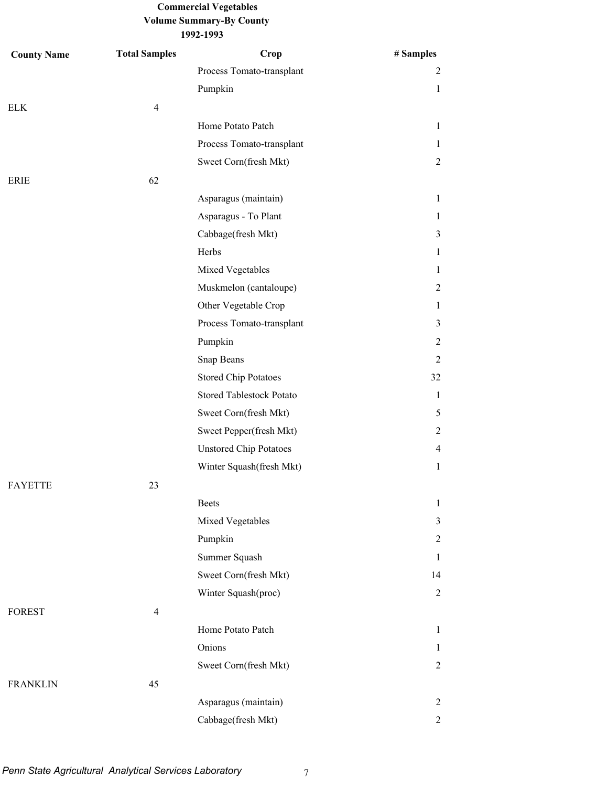| <b>County Name</b> | <b>Total Samples</b> | Crop                          | # Samples      |
|--------------------|----------------------|-------------------------------|----------------|
|                    |                      | Process Tomato-transplant     | 2              |
|                    |                      | Pumpkin                       | $\mathbf{1}$   |
| <b>ELK</b>         | $\overline{4}$       |                               |                |
|                    |                      | Home Potato Patch             | $\mathbf{1}$   |
|                    |                      | Process Tomato-transplant     | $\mathbf{1}$   |
|                    |                      | Sweet Corn(fresh Mkt)         | $\overline{2}$ |
| <b>ERIE</b>        | 62                   |                               |                |
|                    |                      | Asparagus (maintain)          | $\mathbf{1}$   |
|                    |                      | Asparagus - To Plant          | $\mathbf{1}$   |
|                    |                      | Cabbage(fresh Mkt)            | 3              |
|                    |                      | Herbs                         | $\mathbf{1}$   |
|                    |                      | Mixed Vegetables              | $\mathbf{1}$   |
|                    |                      | Muskmelon (cantaloupe)        | $\overline{c}$ |
|                    |                      | Other Vegetable Crop          | $\mathbf{1}$   |
|                    |                      | Process Tomato-transplant     | 3              |
|                    |                      | Pumpkin                       | 2              |
|                    |                      | Snap Beans                    | $\overline{2}$ |
|                    |                      | <b>Stored Chip Potatoes</b>   | 32             |
|                    |                      | Stored Tablestock Potato      | $\mathbf{1}$   |
|                    |                      | Sweet Corn(fresh Mkt)         | 5              |
|                    |                      | Sweet Pepper(fresh Mkt)       | $\overline{c}$ |
|                    |                      | <b>Unstored Chip Potatoes</b> | 4              |
|                    |                      | Winter Squash(fresh Mkt)      | $\mathbf{1}$   |
| <b>FAYETTE</b>     | 23                   |                               |                |
|                    |                      | <b>Beets</b>                  | $\mathbf{1}$   |
|                    |                      | Mixed Vegetables              | 3              |
|                    |                      | Pumpkin                       | $\overline{2}$ |
|                    |                      | Summer Squash                 | $\mathbf{1}$   |
|                    |                      | Sweet Corn(fresh Mkt)         | 14             |
|                    |                      | Winter Squash(proc)           | $\overline{2}$ |
| <b>FOREST</b>      | $\overline{4}$       |                               |                |
|                    |                      | Home Potato Patch             | $\mathbf{1}$   |
|                    |                      | Onions                        | $\mathbf{1}$   |
|                    |                      | Sweet Corn(fresh Mkt)         | $\overline{2}$ |
| <b>FRANKLIN</b>    | 45                   |                               |                |
|                    |                      | Asparagus (maintain)          | $\overline{2}$ |
|                    |                      | Cabbage(fresh Mkt)            | $\overline{2}$ |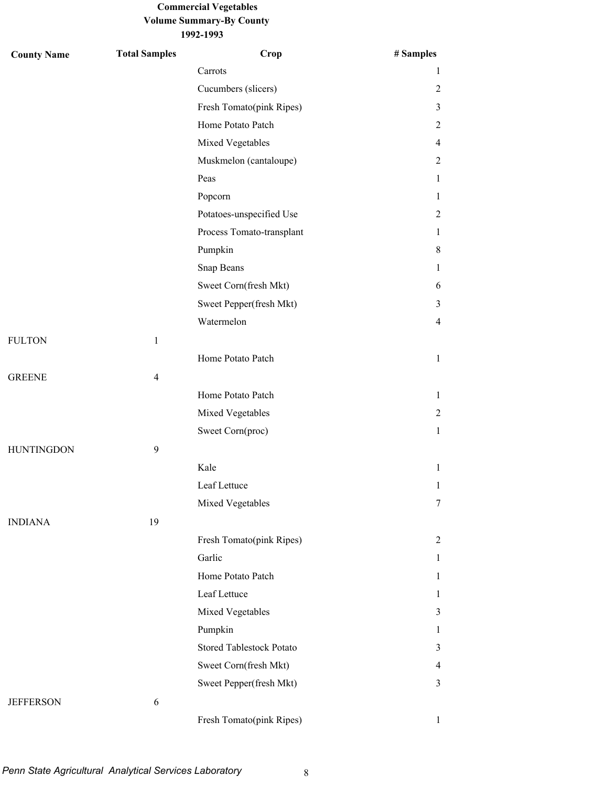| <b>County Name</b> | <b>Total Samples</b> | Crop                            | # Samples      |
|--------------------|----------------------|---------------------------------|----------------|
|                    |                      | Carrots                         | 1              |
|                    |                      | Cucumbers (slicers)             | 2              |
|                    |                      | Fresh Tomato(pink Ripes)        | 3              |
|                    |                      | Home Potato Patch               | 2              |
|                    |                      | Mixed Vegetables                | 4              |
|                    |                      | Muskmelon (cantaloupe)          | 2              |
|                    |                      | Peas                            | $\mathbf{1}$   |
|                    |                      | Popcorn                         | 1              |
|                    |                      | Potatoes-unspecified Use        | $\overline{2}$ |
|                    |                      | Process Tomato-transplant       | 1              |
|                    |                      | Pumpkin                         | 8              |
|                    |                      | Snap Beans                      | 1              |
|                    |                      | Sweet Corn(fresh Mkt)           | 6              |
|                    |                      | Sweet Pepper(fresh Mkt)         | 3              |
|                    |                      | Watermelon                      | $\overline{4}$ |
| <b>FULTON</b>      | $\mathbf{1}$         |                                 |                |
|                    |                      | Home Potato Patch               | $\mathbf{1}$   |
| <b>GREENE</b>      | $\overline{4}$       |                                 |                |
|                    |                      | Home Potato Patch               | $\mathbf{1}$   |
|                    |                      | Mixed Vegetables                | $\overline{2}$ |
|                    |                      | Sweet Corn(proc)                | $\mathbf{1}$   |
| <b>HUNTINGDON</b>  | 9                    |                                 |                |
|                    |                      | Kale                            | $\mathbf{1}$   |
|                    |                      | Leaf Lettuce                    | 1              |
|                    |                      | Mixed Vegetables                | $\tau$         |
| <b>INDIANA</b>     | 19                   |                                 |                |
|                    |                      | Fresh Tomato(pink Ripes)        | $\overline{2}$ |
|                    |                      | Garlic                          | $\mathbf{1}$   |
|                    |                      | Home Potato Patch               | $\mathbf{1}$   |
|                    |                      | Leaf Lettuce                    | 1              |
|                    |                      | Mixed Vegetables                | 3              |
|                    |                      | Pumpkin                         | 1              |
|                    |                      | <b>Stored Tablestock Potato</b> | 3              |
|                    |                      | Sweet Corn(fresh Mkt)           | 4              |
|                    |                      | Sweet Pepper(fresh Mkt)         | 3              |
| <b>JEFFERSON</b>   | 6                    |                                 |                |
|                    |                      | Fresh Tomato(pink Ripes)        | $\mathbf{1}$   |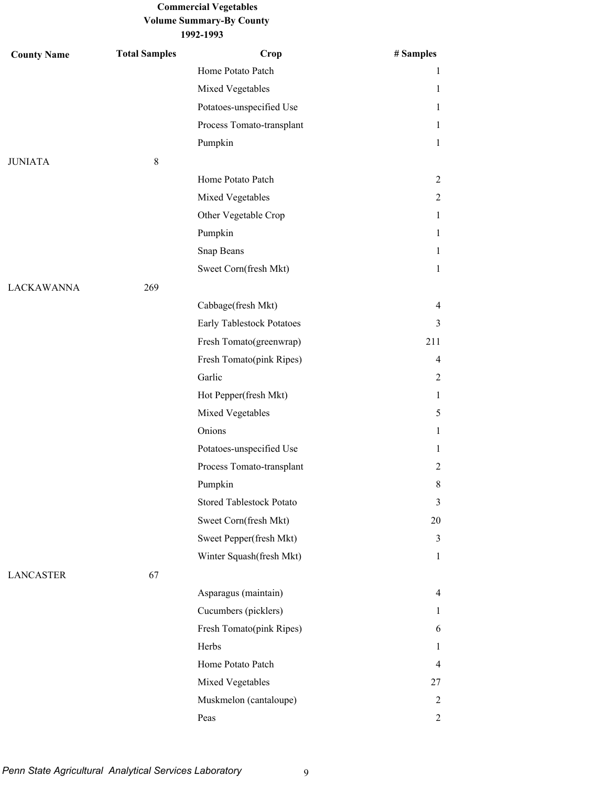| <b>County Name</b> | <b>Total Samples</b> | Crop                            | # Samples      |
|--------------------|----------------------|---------------------------------|----------------|
|                    |                      | Home Potato Patch               | 1              |
|                    |                      | Mixed Vegetables                | $\mathbf{1}$   |
|                    |                      | Potatoes-unspecified Use        | $\mathbf{1}$   |
|                    |                      | Process Tomato-transplant       | 1              |
|                    |                      | Pumpkin                         | $\mathbf{1}$   |
| <b>JUNIATA</b>     | $\,$ 8 $\,$          |                                 |                |
|                    |                      | Home Potato Patch               | 2              |
|                    |                      | Mixed Vegetables                | $\overline{2}$ |
|                    |                      | Other Vegetable Crop            | $\mathbf{1}$   |
|                    |                      | Pumpkin                         | 1              |
|                    |                      | Snap Beans                      | $\mathbf{1}$   |
|                    |                      | Sweet Corn(fresh Mkt)           | $\mathbf{1}$   |
| <b>LACKAWANNA</b>  | 269                  |                                 |                |
|                    |                      | Cabbage(fresh Mkt)              | 4              |
|                    |                      | Early Tablestock Potatoes       | 3              |
|                    |                      | Fresh Tomato(greenwrap)         | 211            |
|                    |                      | Fresh Tomato(pink Ripes)        | 4              |
|                    |                      | Garlic                          | 2              |
|                    |                      | Hot Pepper(fresh Mkt)           | 1              |
|                    |                      | Mixed Vegetables                | 5              |
|                    |                      | Onions                          | 1              |
|                    |                      | Potatoes-unspecified Use        | 1              |
|                    |                      | Process Tomato-transplant       | 2              |
|                    |                      | Pumpkin                         | 8              |
|                    |                      | <b>Stored Tablestock Potato</b> | $\mathfrak{Z}$ |
|                    |                      | Sweet Corn(fresh Mkt)           | 20             |
|                    |                      | Sweet Pepper(fresh Mkt)         | 3              |
|                    |                      | Winter Squash(fresh Mkt)        | $\mathbf{1}$   |
| <b>LANCASTER</b>   | 67                   |                                 |                |
|                    |                      | Asparagus (maintain)            | $\overline{4}$ |
|                    |                      | Cucumbers (picklers)            | 1              |
|                    |                      | Fresh Tomato(pink Ripes)        | 6              |
|                    |                      | Herbs                           | 1              |
|                    |                      | Home Potato Patch               | $\overline{4}$ |
|                    |                      | Mixed Vegetables                | 27             |
|                    |                      | Muskmelon (cantaloupe)          | $\overline{2}$ |
|                    |                      | Peas                            | $\overline{c}$ |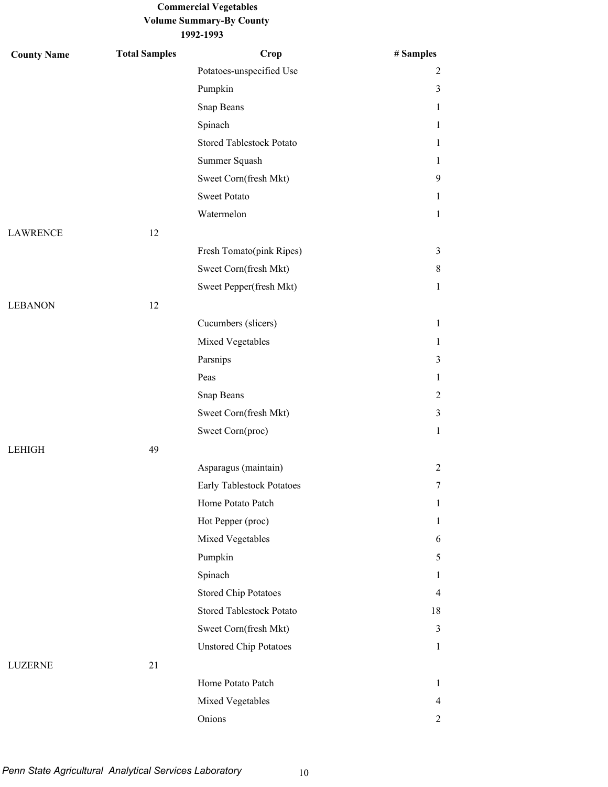| <b>County Name</b> | <b>Total Samples</b> | Crop                            | # Samples      |
|--------------------|----------------------|---------------------------------|----------------|
|                    |                      | Potatoes-unspecified Use        | $\overline{2}$ |
|                    |                      | Pumpkin                         | 3              |
|                    |                      | Snap Beans                      | 1              |
|                    |                      | Spinach                         | 1              |
|                    |                      | <b>Stored Tablestock Potato</b> | $\mathbf{1}$   |
|                    |                      | Summer Squash                   | 1              |
|                    |                      | Sweet Corn(fresh Mkt)           | 9              |
|                    |                      | <b>Sweet Potato</b>             | 1              |
|                    |                      | Watermelon                      | $\mathbf{1}$   |
| <b>LAWRENCE</b>    | 12                   |                                 |                |
|                    |                      | Fresh Tomato(pink Ripes)        | 3              |
|                    |                      | Sweet Corn(fresh Mkt)           | 8              |
|                    |                      | Sweet Pepper(fresh Mkt)         | $\mathbf{1}$   |
| <b>LEBANON</b>     | 12                   |                                 |                |
|                    |                      | Cucumbers (slicers)             | $\mathbf{1}$   |
|                    |                      | Mixed Vegetables                | $\mathbf{1}$   |
|                    |                      | Parsnips                        | 3              |
|                    |                      | Peas                            | $\mathbf{1}$   |
|                    |                      | Snap Beans                      | $\overline{2}$ |
|                    |                      | Sweet Corn(fresh Mkt)           | 3              |
|                    |                      | Sweet Corn(proc)                | $\mathbf{1}$   |
| <b>LEHIGH</b>      | 49                   |                                 |                |
|                    |                      | Asparagus (maintain)            | $\overline{2}$ |
|                    |                      | Early Tablestock Potatoes       | 7              |
|                    |                      | Home Potato Patch               | $\mathbf{1}$   |
|                    |                      | Hot Pepper (proc)               | $\mathbf{1}$   |
|                    |                      | Mixed Vegetables                | 6              |
|                    |                      | Pumpkin                         | 5              |
|                    |                      | Spinach                         | 1              |
|                    |                      | <b>Stored Chip Potatoes</b>     | $\overline{4}$ |
|                    |                      | <b>Stored Tablestock Potato</b> | 18             |
|                    |                      | Sweet Corn(fresh Mkt)           | 3              |
|                    |                      | <b>Unstored Chip Potatoes</b>   | $\mathbf{1}$   |
| <b>LUZERNE</b>     | 21                   |                                 |                |
|                    |                      | Home Potato Patch               | $\mathbf{1}$   |
|                    |                      | Mixed Vegetables                | 4              |
|                    |                      | Onions                          | $\overline{2}$ |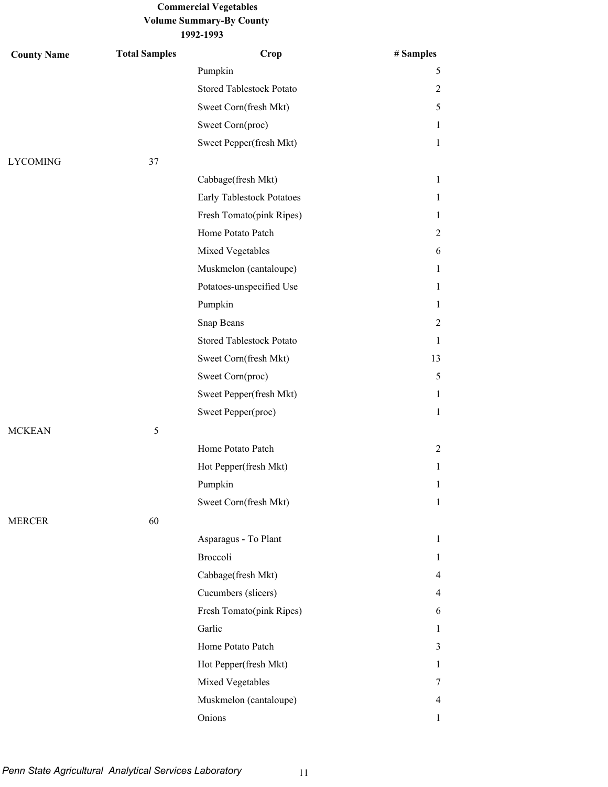| <b>County Name</b> | <b>Total Samples</b> | Crop                            | # Samples      |
|--------------------|----------------------|---------------------------------|----------------|
|                    |                      | Pumpkin                         | 5              |
|                    |                      | <b>Stored Tablestock Potato</b> | $\overline{2}$ |
|                    |                      | Sweet Corn(fresh Mkt)           | 5              |
|                    |                      | Sweet Corn(proc)                | $\mathbf{1}$   |
|                    |                      | Sweet Pepper(fresh Mkt)         | $\mathbf{1}$   |
| <b>LYCOMING</b>    | 37                   |                                 |                |
|                    |                      | Cabbage(fresh Mkt)              | $\mathbf{1}$   |
|                    |                      | Early Tablestock Potatoes       | $\mathbf{1}$   |
|                    |                      | Fresh Tomato(pink Ripes)        | $\mathbf{1}$   |
|                    |                      | Home Potato Patch               | $\overline{2}$ |
|                    |                      | Mixed Vegetables                | 6              |
|                    |                      | Muskmelon (cantaloupe)          | $\mathbf{1}$   |
|                    |                      | Potatoes-unspecified Use        | $\mathbf{1}$   |
|                    |                      | Pumpkin                         | $\mathbf{1}$   |
|                    |                      | Snap Beans                      | $\overline{2}$ |
|                    |                      | <b>Stored Tablestock Potato</b> | $\mathbf{1}$   |
|                    |                      | Sweet Corn(fresh Mkt)           | 13             |
|                    |                      | Sweet Corn(proc)                | 5              |
|                    |                      | Sweet Pepper(fresh Mkt)         | $\mathbf{1}$   |
|                    |                      | Sweet Pepper(proc)              | $\mathbf{1}$   |
| <b>MCKEAN</b>      | 5                    |                                 |                |
|                    |                      | Home Potato Patch               | $\overline{2}$ |
|                    |                      | Hot Pepper(fresh Mkt)           | 1              |
|                    |                      | Pumpkin                         | 1              |
|                    |                      | Sweet Corn(fresh Mkt)           | $\mathbf{1}$   |
| <b>MERCER</b>      | 60                   |                                 |                |
|                    |                      | Asparagus - To Plant            | $\mathbf{1}$   |
|                    |                      | Broccoli                        | $\mathbf{1}$   |
|                    |                      | Cabbage(fresh Mkt)              | $\overline{4}$ |
|                    |                      | Cucumbers (slicers)             | 4              |
|                    |                      | Fresh Tomato(pink Ripes)        | 6              |
|                    |                      | Garlic                          | 1              |
|                    |                      | Home Potato Patch               | 3              |
|                    |                      | Hot Pepper(fresh Mkt)           | 1              |
|                    |                      | Mixed Vegetables                | 7              |
|                    |                      | Muskmelon (cantaloupe)          | 4              |
|                    |                      | Onions                          | 1              |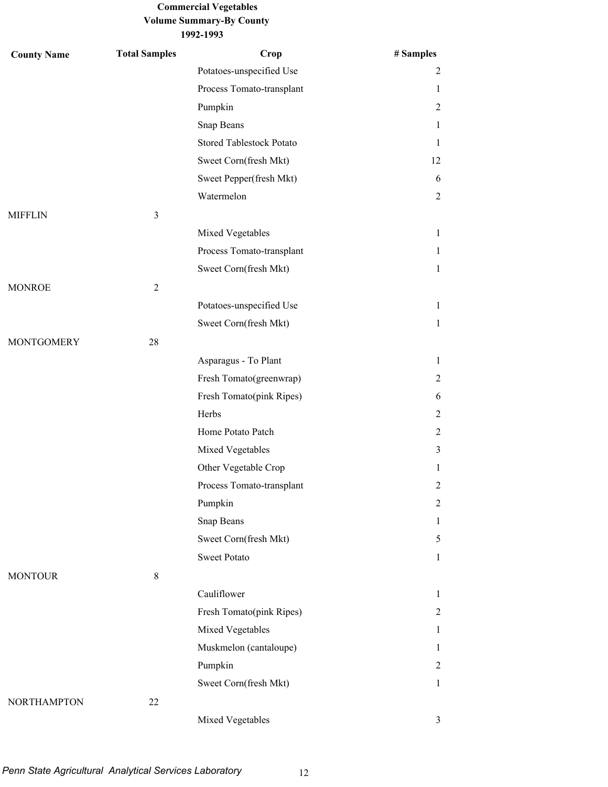| <b>County Name</b> | <b>Total Samples</b> | Crop                            | # Samples      |
|--------------------|----------------------|---------------------------------|----------------|
|                    |                      | Potatoes-unspecified Use        | 2              |
|                    |                      | Process Tomato-transplant       | 1              |
|                    |                      | Pumpkin                         | $\overline{2}$ |
|                    |                      | Snap Beans                      | $\mathbf{1}$   |
|                    |                      | <b>Stored Tablestock Potato</b> | $\mathbf{1}$   |
|                    |                      | Sweet Corn(fresh Mkt)           | 12             |
|                    |                      | Sweet Pepper(fresh Mkt)         | 6              |
|                    |                      | Watermelon                      | $\overline{2}$ |
| <b>MIFFLIN</b>     | 3                    |                                 |                |
|                    |                      | Mixed Vegetables                | $\mathbf{1}$   |
|                    |                      | Process Tomato-transplant       | $\mathbf{1}$   |
|                    |                      | Sweet Corn(fresh Mkt)           | $\mathbf{1}$   |
| <b>MONROE</b>      | $\overline{2}$       |                                 |                |
|                    |                      | Potatoes-unspecified Use        | $\mathbf{1}$   |
|                    |                      | Sweet Corn(fresh Mkt)           | $\mathbf{1}$   |
| <b>MONTGOMERY</b>  | 28                   |                                 |                |
|                    |                      | Asparagus - To Plant            | $\mathbf{1}$   |
|                    |                      | Fresh Tomato(greenwrap)         | $\overline{2}$ |
|                    |                      | Fresh Tomato(pink Ripes)        | 6              |
|                    |                      | Herbs                           | $\overline{2}$ |
|                    |                      | Home Potato Patch               | $\overline{2}$ |
|                    |                      | Mixed Vegetables                | 3              |
|                    |                      | Other Vegetable Crop            | 1              |
|                    |                      | Process Tomato-transplant       | $\overline{2}$ |
|                    |                      | Pumpkin                         | $\overline{2}$ |
|                    |                      | Snap Beans                      | $\mathbf{1}$   |
|                    |                      | Sweet Corn(fresh Mkt)           | 5              |
|                    |                      | <b>Sweet Potato</b>             | $\mathbf{1}$   |
| <b>MONTOUR</b>     | $8\,$                |                                 |                |
|                    |                      | Cauliflower                     | $\mathbf{1}$   |
|                    |                      | Fresh Tomato(pink Ripes)        | $\overline{2}$ |
|                    |                      | Mixed Vegetables                | $\mathbf{1}$   |
|                    |                      | Muskmelon (cantaloupe)          | $\mathbf{1}$   |
|                    |                      | Pumpkin                         | $\overline{2}$ |
|                    |                      | Sweet Corn(fresh Mkt)           | $\mathbf{1}$   |
| NORTHAMPTON        | 22                   |                                 |                |
|                    |                      | Mixed Vegetables                | $\mathfrak{Z}$ |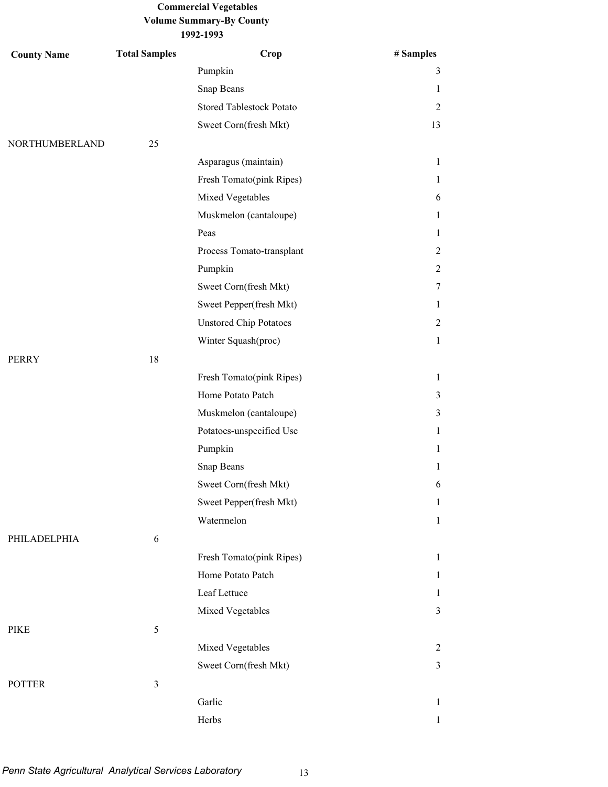| <b>County Name</b> | <b>Total Samples</b> | Crop                            | # Samples      |
|--------------------|----------------------|---------------------------------|----------------|
|                    |                      | Pumpkin                         | 3              |
|                    |                      | Snap Beans                      | 1              |
|                    |                      | <b>Stored Tablestock Potato</b> | $\overline{2}$ |
|                    |                      | Sweet Corn(fresh Mkt)           | 13             |
| NORTHUMBERLAND     | 25                   |                                 |                |
|                    |                      | Asparagus (maintain)            | 1              |
|                    |                      | Fresh Tomato(pink Ripes)        | 1              |
|                    |                      | Mixed Vegetables                | 6              |
|                    |                      | Muskmelon (cantaloupe)          | 1              |
|                    |                      | Peas                            | 1              |
|                    |                      | Process Tomato-transplant       | $\overline{2}$ |
|                    |                      | Pumpkin                         | $\overline{c}$ |
|                    |                      | Sweet Corn(fresh Mkt)           | 7              |
|                    |                      | Sweet Pepper(fresh Mkt)         | 1              |
|                    |                      | <b>Unstored Chip Potatoes</b>   | $\overline{2}$ |
|                    |                      | Winter Squash(proc)             | $\mathbf{1}$   |
| <b>PERRY</b>       | 18                   |                                 |                |
|                    |                      | Fresh Tomato(pink Ripes)        | $\mathbf{1}$   |
|                    |                      | Home Potato Patch               | 3              |
|                    |                      | Muskmelon (cantaloupe)          | 3              |
|                    |                      | Potatoes-unspecified Use        | $\mathbf{1}$   |
|                    |                      | Pumpkin                         | $\mathbf{1}$   |
|                    |                      | Snap Beans                      | 1              |
|                    |                      | Sweet Corn(fresh Mkt)           | 6              |
|                    |                      | Sweet Pepper(fresh Mkt)         | $\mathbf{1}$   |
|                    |                      | Watermelon                      | $\mathbf{1}$   |
| PHILADELPHIA       | 6                    |                                 |                |
|                    |                      | Fresh Tomato(pink Ripes)        | $\mathbf{1}$   |
|                    |                      | Home Potato Patch               | $\mathbf{1}$   |
|                    |                      | Leaf Lettuce                    | 1              |
|                    |                      | Mixed Vegetables                | 3              |
| <b>PIKE</b>        | 5                    |                                 |                |
|                    |                      | Mixed Vegetables                | 2              |
|                    |                      | Sweet Corn(fresh Mkt)           | 3              |
| <b>POTTER</b>      | $\overline{3}$       |                                 |                |
|                    |                      | Garlic                          | $\mathbf{1}$   |
|                    |                      | Herbs                           | 1              |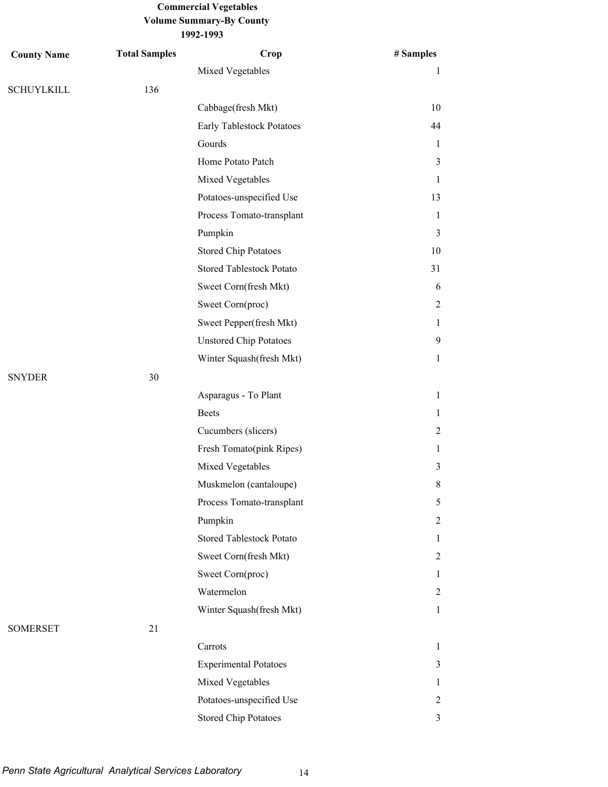| <b>County Name</b> | <b>Total Samples</b> | Crop                            | # Samples      |
|--------------------|----------------------|---------------------------------|----------------|
|                    |                      | Mixed Vegetables                | $\mathbf{1}$   |
| <b>SCHUYLKILL</b>  | 136                  |                                 |                |
|                    |                      | Cabbage(fresh Mkt)              | 10             |
|                    |                      | Early Tablestock Potatoes       | 44             |
|                    |                      | Gourds                          | $\mathbf{1}$   |
|                    |                      | Home Potato Patch               | 3              |
|                    |                      | Mixed Vegetables                | $\mathbf{1}$   |
|                    |                      | Potatoes-unspecified Use        | 13             |
|                    |                      | Process Tomato-transplant       | $\mathbf{1}$   |
|                    |                      | Pumpkin                         | 3              |
|                    |                      | <b>Stored Chip Potatoes</b>     | 10             |
|                    |                      | <b>Stored Tablestock Potato</b> | 31             |
|                    |                      | Sweet Corn(fresh Mkt)           | 6              |
|                    |                      | Sweet Corn(proc)                | $\overline{2}$ |
|                    |                      | Sweet Pepper(fresh Mkt)         | $\mathbf{1}$   |
|                    |                      | <b>Unstored Chip Potatoes</b>   | 9              |
|                    |                      | Winter Squash(fresh Mkt)        | $\mathbf{1}$   |
| <b>SNYDER</b>      | 30                   |                                 |                |
|                    |                      | Asparagus - To Plant            | $\mathbf{1}$   |
|                    |                      | <b>Beets</b>                    | $\mathbf{1}$   |
|                    |                      | Cucumbers (slicers)             | $\overline{2}$ |
|                    |                      | Fresh Tomato(pink Ripes)        | $\mathbf{1}$   |
|                    |                      | Mixed Vegetables                | 3              |
|                    |                      | Muskmelon (cantaloupe)          | $\,8$          |
|                    |                      | Process Tomato-transplant       | 5              |
|                    |                      | Pumpkin                         | $\overline{2}$ |
|                    |                      | <b>Stored Tablestock Potato</b> | 1              |
|                    |                      | Sweet Corn(fresh Mkt)           | $\overline{2}$ |
|                    |                      | Sweet Corn(proc)                | 1              |
|                    |                      | Watermelon                      | $\overline{2}$ |
|                    |                      | Winter Squash(fresh Mkt)        | 1              |
| <b>SOMERSET</b>    | 21                   |                                 |                |
|                    |                      | Carrots                         | $\mathbf{1}$   |
|                    |                      | <b>Experimental Potatoes</b>    | 3              |
|                    |                      | Mixed Vegetables                | $\mathbf{1}$   |
|                    |                      | Potatoes-unspecified Use        | $\overline{2}$ |
|                    |                      | <b>Stored Chip Potatoes</b>     | 3              |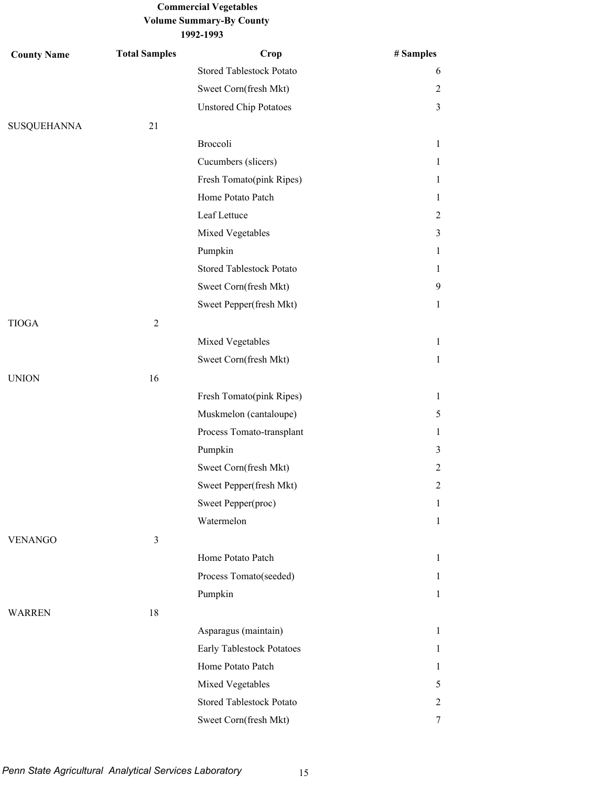| <b>County Name</b> | <b>Total Samples</b> | Crop                            | # Samples      |
|--------------------|----------------------|---------------------------------|----------------|
|                    |                      | Stored Tablestock Potato        | 6              |
|                    |                      | Sweet Corn(fresh Mkt)           | $\overline{2}$ |
|                    |                      | <b>Unstored Chip Potatoes</b>   | $\mathfrak{Z}$ |
| <b>SUSQUEHANNA</b> | 21                   |                                 |                |
|                    |                      | Broccoli                        | $\mathbf{1}$   |
|                    |                      | Cucumbers (slicers)             | $\mathbf{1}$   |
|                    |                      | Fresh Tomato(pink Ripes)        | $\mathbf{1}$   |
|                    |                      | Home Potato Patch               | 1              |
|                    |                      | Leaf Lettuce                    | $\overline{2}$ |
|                    |                      | Mixed Vegetables                | 3              |
|                    |                      | Pumpkin                         | $\mathbf{1}$   |
|                    |                      | <b>Stored Tablestock Potato</b> | 1              |
|                    |                      | Sweet Corn(fresh Mkt)           | 9              |
|                    |                      | Sweet Pepper(fresh Mkt)         | $\mathbf{1}$   |
| <b>TIOGA</b>       | $\sqrt{2}$           |                                 |                |
|                    |                      | Mixed Vegetables                | $\mathbf{1}$   |
|                    |                      | Sweet Corn(fresh Mkt)           | $\mathbf{1}$   |
| <b>UNION</b>       | 16                   |                                 |                |
|                    |                      | Fresh Tomato(pink Ripes)        | $\mathbf{1}$   |
|                    |                      | Muskmelon (cantaloupe)          | 5              |
|                    |                      | Process Tomato-transplant       | $\mathbf{1}$   |
|                    |                      | Pumpkin                         | 3              |
|                    |                      | Sweet Corn(fresh Mkt)           | $\overline{2}$ |
|                    |                      | Sweet Pepper(fresh Mkt)         | $\overline{2}$ |
|                    |                      | Sweet Pepper(proc)              | $\mathbf{1}$   |
|                    |                      | Watermelon                      | $\mathbf{1}$   |
| <b>VENANGO</b>     | 3                    |                                 |                |
|                    |                      | Home Potato Patch               | $\mathbf{1}$   |
|                    |                      | Process Tomato(seeded)          | $\mathbf{1}$   |
|                    |                      | Pumpkin                         | $\mathbf{1}$   |
| <b>WARREN</b>      | 18                   |                                 |                |
|                    |                      | Asparagus (maintain)            | $\mathbf{1}$   |
|                    |                      | Early Tablestock Potatoes       | $\mathbf{1}$   |
|                    |                      | Home Potato Patch               | 1              |
|                    |                      | Mixed Vegetables                | 5              |
|                    |                      | <b>Stored Tablestock Potato</b> | $\overline{c}$ |
|                    |                      | Sweet Corn(fresh Mkt)           | 7              |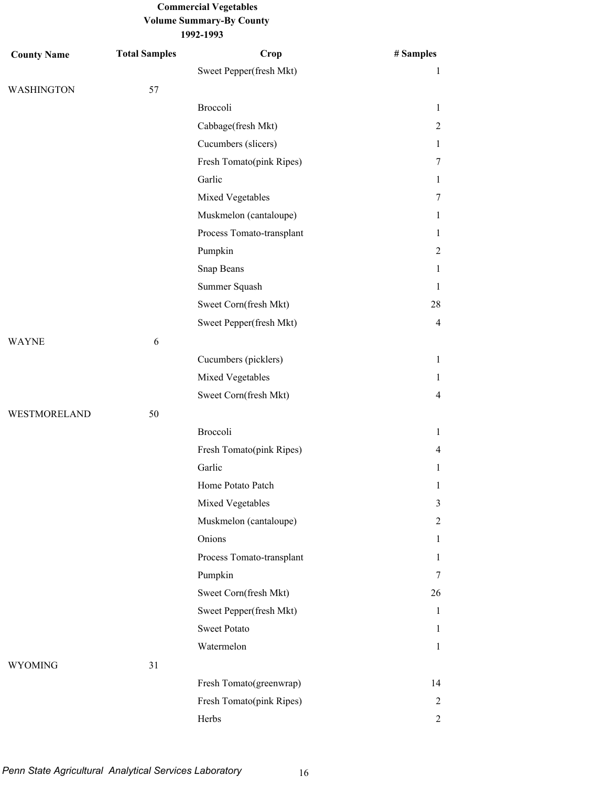| <b>County Name</b> | <b>Total Samples</b> | Crop                      | # Samples      |
|--------------------|----------------------|---------------------------|----------------|
|                    |                      | Sweet Pepper(fresh Mkt)   | 1              |
| WASHINGTON         | 57                   |                           |                |
|                    |                      | Broccoli                  | $\mathbf{1}$   |
|                    |                      | Cabbage(fresh Mkt)        | $\overline{2}$ |
|                    |                      | Cucumbers (slicers)       | $\mathbf{1}$   |
|                    |                      | Fresh Tomato(pink Ripes)  | 7              |
|                    |                      | Garlic                    | $\mathbf{1}$   |
|                    |                      | Mixed Vegetables          | 7              |
|                    |                      | Muskmelon (cantaloupe)    | $\mathbf{1}$   |
|                    |                      | Process Tomato-transplant | $\mathbf{1}$   |
|                    |                      | Pumpkin                   | $\overline{2}$ |
|                    |                      | Snap Beans                | $\mathbf{1}$   |
|                    |                      | Summer Squash             | $\mathbf{1}$   |
|                    |                      | Sweet Corn(fresh Mkt)     | 28             |
|                    |                      | Sweet Pepper(fresh Mkt)   | $\overline{4}$ |
| <b>WAYNE</b>       | 6                    |                           |                |
|                    |                      | Cucumbers (picklers)      | $\mathbf{1}$   |
|                    |                      | Mixed Vegetables          | 1              |
|                    |                      | Sweet Corn(fresh Mkt)     | $\overline{4}$ |
| WESTMORELAND       | 50                   |                           |                |
|                    |                      | Broccoli                  | $\mathbf{1}$   |
|                    |                      | Fresh Tomato(pink Ripes)  | $\overline{4}$ |
|                    |                      | Garlic                    | 1              |
|                    |                      | Home Potato Patch         | 1              |
|                    |                      | Mixed Vegetables          | $\mathfrak{Z}$ |
|                    |                      | Muskmelon (cantaloupe)    | $\overline{2}$ |
|                    |                      | Onions                    | $\mathbf{1}$   |
|                    |                      | Process Tomato-transplant | $\mathbf{1}$   |
|                    |                      | Pumpkin                   | 7              |
|                    |                      | Sweet Corn(fresh Mkt)     | 26             |
|                    |                      | Sweet Pepper(fresh Mkt)   | $\mathbf{1}$   |
|                    |                      | <b>Sweet Potato</b>       | $\mathbf{1}$   |
|                    |                      | Watermelon                | $\mathbf{1}$   |
| <b>WYOMING</b>     | 31                   |                           |                |
|                    |                      | Fresh Tomato(greenwrap)   | 14             |
|                    |                      | Fresh Tomato(pink Ripes)  | $\overline{2}$ |
|                    |                      | Herbs                     | $\overline{2}$ |